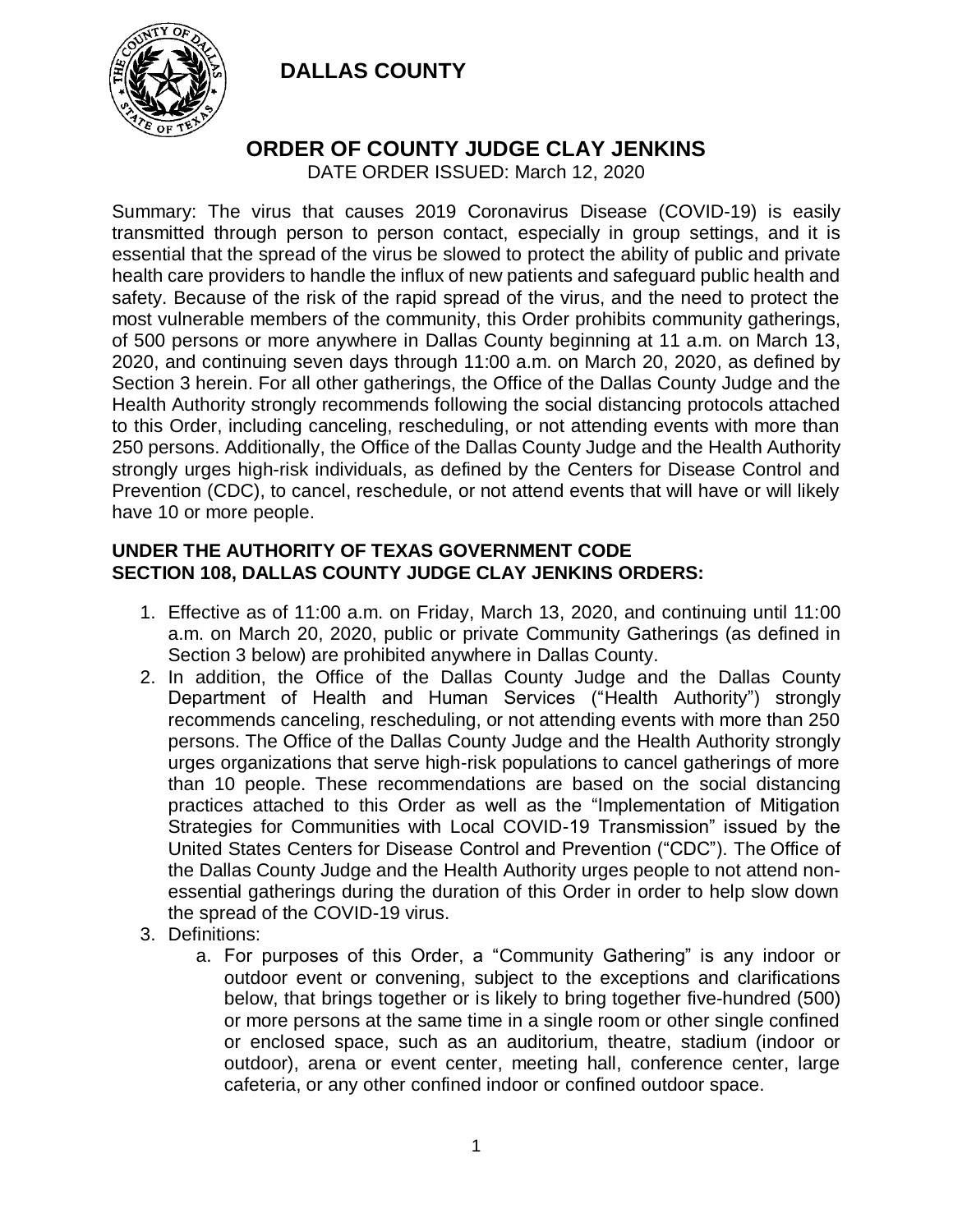

## **ORDER OF COUNTY JUDGE CLAY JENKINS**

DATE ORDER ISSUED: March 12, 2020

Summary: The virus that causes 2019 Coronavirus Disease (COVID-19) is easily transmitted through person to person contact, especially in group settings, and it is essential that the spread of the virus be slowed to protect the ability of public and private health care providers to handle the influx of new patients and safeguard public health and safety. Because of the risk of the rapid spread of the virus, and the need to protect the most vulnerable members of the community, this Order prohibits community gatherings, of 500 persons or more anywhere in Dallas County beginning at 11 a.m. on March 13, 2020, and continuing seven days through 11:00 a.m. on March 20, 2020, as defined by Section 3 herein. For all other gatherings, the Office of the Dallas County Judge and the Health Authority strongly recommends following the social distancing protocols attached to this Order, including canceling, rescheduling, or not attending events with more than 250 persons. Additionally, the Office of the Dallas County Judge and the Health Authority strongly urges high-risk individuals, as defined by the Centers for Disease Control and Prevention (CDC), to cancel, reschedule, or not attend events that will have or will likely have 10 or more people.

#### **UNDER THE AUTHORITY OF TEXAS GOVERNMENT CODE SECTION 108, DALLAS COUNTY JUDGE CLAY JENKINS ORDERS:**

- 1. Effective as of 11:00 a.m. on Friday, March 13, 2020, and continuing until 11:00 a.m. on March 20, 2020, public or private Community Gatherings (as defined in Section 3 below) are prohibited anywhere in Dallas County.
- 2. In addition, the Office of the Dallas County Judge and the Dallas County Department of Health and Human Services ("Health Authority") strongly recommends canceling, rescheduling, or not attending events with more than 250 persons. The Office of the Dallas County Judge and the Health Authority strongly urges organizations that serve high-risk populations to cancel gatherings of more than 10 people. These recommendations are based on the social distancing practices attached to this Order as well as the "Implementation of Mitigation Strategies for Communities with Local COVID-19 Transmission" issued by the United States Centers for Disease Control and Prevention ("CDC"). The Office of the Dallas County Judge and the Health Authority urges people to not attend nonessential gatherings during the duration of this Order in order to help slow down the spread of the COVID-19 virus.
- 3. Definitions:
	- a. For purposes of this Order, a "Community Gathering" is any indoor or outdoor event or convening, subject to the exceptions and clarifications below, that brings together or is likely to bring together five-hundred (500) or more persons at the same time in a single room or other single confined or enclosed space, such as an auditorium, theatre, stadium (indoor or outdoor), arena or event center, meeting hall, conference center, large cafeteria, or any other confined indoor or confined outdoor space.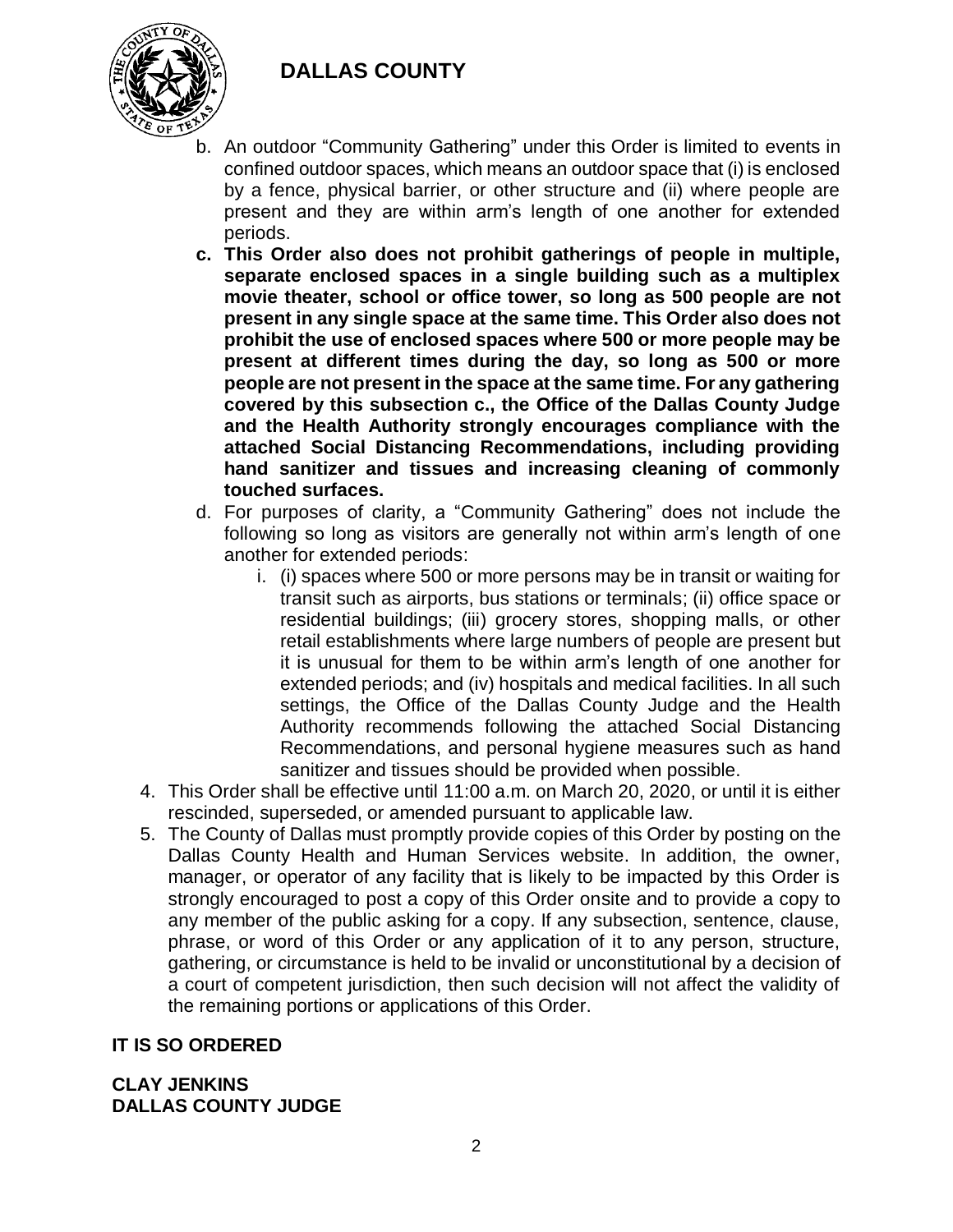

- b. An outdoor "Community Gathering" under this Order is limited to events in confined outdoor spaces, which means an outdoor space that (i) is enclosed by a fence, physical barrier, or other structure and (ii) where people are present and they are within arm's length of one another for extended periods.
- **c. This Order also does not prohibit gatherings of people in multiple, separate enclosed spaces in a single building such as a multiplex movie theater, school or office tower, so long as 500 people are not present in any single space at the same time. This Order also does not prohibit the use of enclosed spaces where 500 or more people may be present at different times during the day, so long as 500 or more people are not present in the space at the same time. For any gathering covered by this subsection c., the Office of the Dallas County Judge and the Health Authority strongly encourages compliance with the attached Social Distancing Recommendations, including providing hand sanitizer and tissues and increasing cleaning of commonly touched surfaces.**
- d. For purposes of clarity, a "Community Gathering" does not include the following so long as visitors are generally not within arm's length of one another for extended periods:
	- i. (i) spaces where 500 or more persons may be in transit or waiting for transit such as airports, bus stations or terminals; (ii) office space or residential buildings; (iii) grocery stores, shopping malls, or other retail establishments where large numbers of people are present but it is unusual for them to be within arm's length of one another for extended periods; and (iv) hospitals and medical facilities. In all such settings, the Office of the Dallas County Judge and the Health Authority recommends following the attached Social Distancing Recommendations, and personal hygiene measures such as hand sanitizer and tissues should be provided when possible.
- 4. This Order shall be effective until 11:00 a.m. on March 20, 2020, or until it is either rescinded, superseded, or amended pursuant to applicable law.
- 5. The County of Dallas must promptly provide copies of this Order by posting on the Dallas County Health and Human Services website. In addition, the owner, manager, or operator of any facility that is likely to be impacted by this Order is strongly encouraged to post a copy of this Order onsite and to provide a copy to any member of the public asking for a copy. If any subsection, sentence, clause, phrase, or word of this Order or any application of it to any person, structure, gathering, or circumstance is held to be invalid or unconstitutional by a decision of a court of competent jurisdiction, then such decision will not affect the validity of the remaining portions or applications of this Order.

### **IT IS SO ORDERED**

#### **CLAY JENKINS DALLAS COUNTY JUDGE**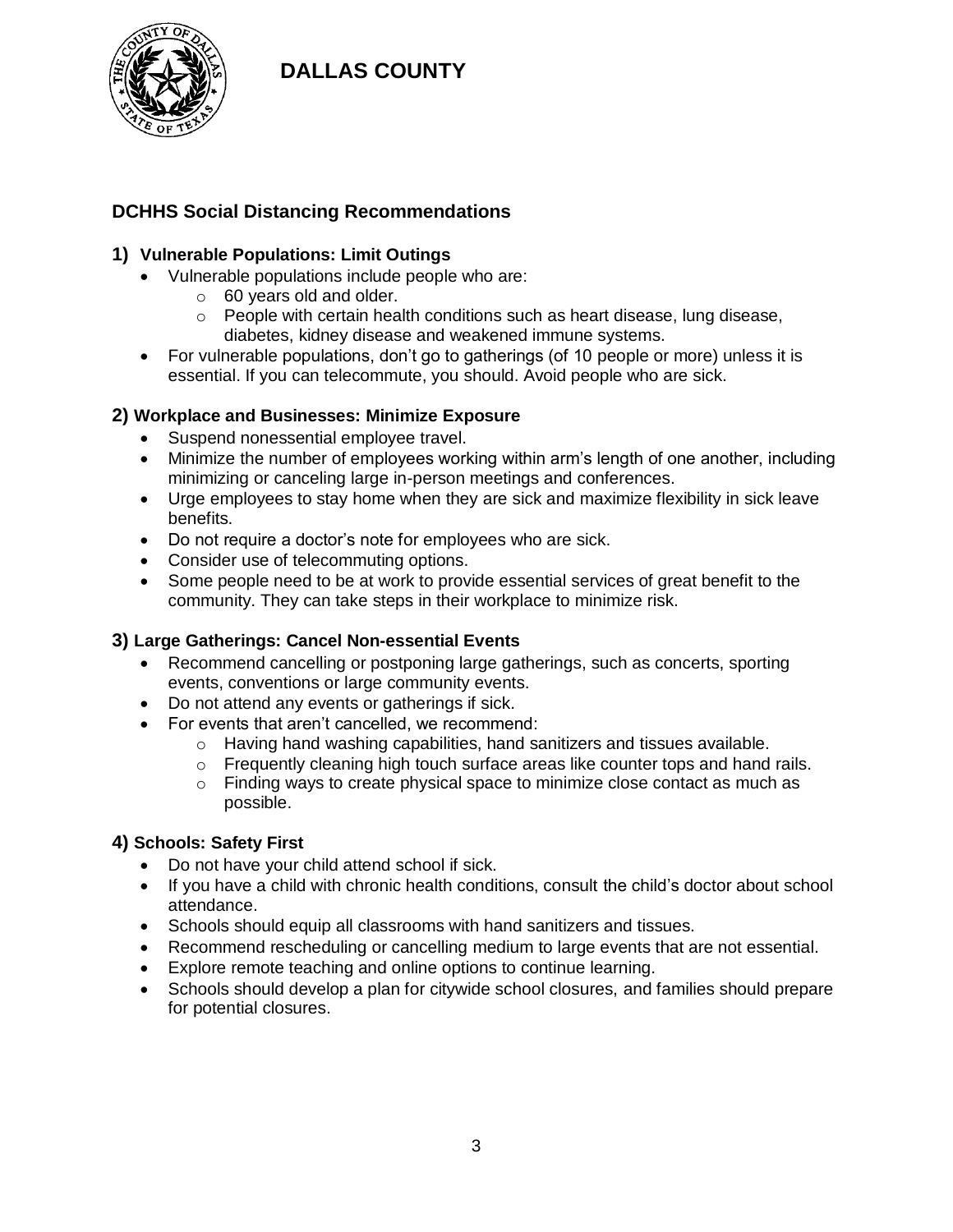

## **DCHHS Social Distancing Recommendations**

#### **1) Vulnerable Populations: Limit Outings**

- Vulnerable populations include people who are:
	- o 60 years old and older.
	- o People with certain health conditions such as heart disease, lung disease, diabetes, kidney disease and weakened immune systems.
- For vulnerable populations, don't go to gatherings (of 10 people or more) unless it is essential. If you can telecommute, you should. Avoid people who are sick.

#### **2) Workplace and Businesses: Minimize Exposure**

- Suspend nonessential employee travel.
- Minimize the number of employees working within arm's length of one another, including minimizing or canceling large in-person meetings and conferences.
- Urge employees to stay home when they are sick and maximize flexibility in sick leave benefits.
- Do not require a doctor's note for employees who are sick.
- Consider use of telecommuting options.
- Some people need to be at work to provide essential services of great benefit to the community. They can take steps in their workplace to minimize risk.

#### **3) Large Gatherings: Cancel Non-essential Events**

- Recommend cancelling or postponing large gatherings, such as concerts, sporting events, conventions or large community events.
- Do not attend any events or gatherings if sick.
- For events that aren't cancelled, we recommend:
	- o Having hand washing capabilities, hand sanitizers and tissues available.
	- $\circ$  Frequently cleaning high touch surface areas like counter tops and hand rails.
	- $\circ$  Finding ways to create physical space to minimize close contact as much as possible.

#### **4) Schools: Safety First**

- Do not have your child attend school if sick.
- If you have a child with chronic health conditions, consult the child's doctor about school attendance.
- Schools should equip all classrooms with hand sanitizers and tissues.
- Recommend rescheduling or cancelling medium to large events that are not essential.
- Explore remote teaching and online options to continue learning.
- Schools should develop a plan for citywide school closures, and families should prepare for potential closures.